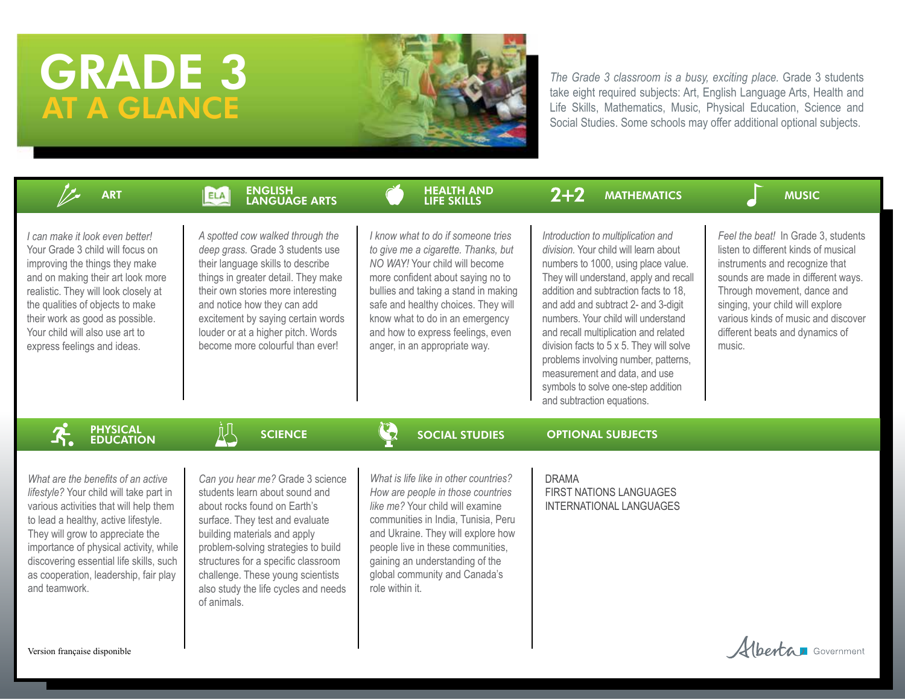# GRADE 3 AT A GLANCE



*The Grade 3 classroom is a busy, exciting place.* Grade 3 students take eight required subjects: Art, English Language Arts, Health and Life Skills, Mathematics, Music, Physical Education, Science and Social Studies. Some schools may offer additional optional subjects.

| <b>ART</b>                                                                                                                                                                                                                                                                                                                                         | <b>ENGLISH</b><br>ELA<br>LANGUAGE ARTS                                                                                                                                                                                                                                                                                                          | <b>HEALTH AND</b><br><b>LIFE SKILLS</b>                                                                                                                                                                                                                                                                                                  | $2+2$<br><b>MATHEMATICS</b>                                                                                                                                                                                                                                                                                                                                                                                                                                                                                           | <b>MUSIC</b>                                                                                                                                                                                                                                                                                               |
|----------------------------------------------------------------------------------------------------------------------------------------------------------------------------------------------------------------------------------------------------------------------------------------------------------------------------------------------------|-------------------------------------------------------------------------------------------------------------------------------------------------------------------------------------------------------------------------------------------------------------------------------------------------------------------------------------------------|------------------------------------------------------------------------------------------------------------------------------------------------------------------------------------------------------------------------------------------------------------------------------------------------------------------------------------------|-----------------------------------------------------------------------------------------------------------------------------------------------------------------------------------------------------------------------------------------------------------------------------------------------------------------------------------------------------------------------------------------------------------------------------------------------------------------------------------------------------------------------|------------------------------------------------------------------------------------------------------------------------------------------------------------------------------------------------------------------------------------------------------------------------------------------------------------|
| I can make it look even better!<br>Your Grade 3 child will focus on<br>improving the things they make<br>and on making their art look more<br>realistic. They will look closely at<br>the qualities of objects to make<br>their work as good as possible.<br>Your child will also use art to<br>express feelings and ideas.                        | A spotted cow walked through the<br>deep grass. Grade 3 students use<br>their language skills to describe<br>things in greater detail. They make<br>their own stories more interesting<br>and notice how they can add<br>excitement by saying certain words<br>louder or at a higher pitch. Words<br>become more colourful than ever!           | I know what to do if someone tries<br>to give me a cigarette. Thanks, but<br>NO WAY! Your child will become<br>more confident about saying no to<br>bullies and taking a stand in making<br>safe and healthy choices. They will<br>know what to do in an emergency<br>and how to express feelings, even<br>anger, in an appropriate way. | Introduction to multiplication and<br>division. Your child will learn about<br>numbers to 1000, using place value.<br>They will understand, apply and recall<br>addition and subtraction facts to 18.<br>and add and subtract 2- and 3-digit<br>numbers. Your child will understand<br>and recall multiplication and related<br>division facts to 5 x 5. They will solve<br>problems involving number, patterns,<br>measurement and data, and use<br>symbols to solve one-step addition<br>and subtraction equations. | Feel the beat! In Grade 3, students<br>listen to different kinds of musical<br>instruments and recognize that<br>sounds are made in different ways.<br>Through movement, dance and<br>singing, your child will explore<br>various kinds of music and discover<br>different beats and dynamics of<br>music. |
| <b>PHYSICAL</b><br><b>EDUCATION</b>                                                                                                                                                                                                                                                                                                                | <b>SCIENCE</b>                                                                                                                                                                                                                                                                                                                                  | $\mathcal{L}_{2}$<br><b>SOCIAL STUDIES</b>                                                                                                                                                                                                                                                                                               | <b>OPTIONAL SUBJECTS</b>                                                                                                                                                                                                                                                                                                                                                                                                                                                                                              |                                                                                                                                                                                                                                                                                                            |
| What are the benefits of an active<br>lifestyle? Your child will take part in<br>various activities that will help them<br>to lead a healthy, active lifestyle.<br>They will grow to appreciate the<br>importance of physical activity, while<br>discovering essential life skills, such<br>as cooperation, leadership, fair play<br>and teamwork. | Can you hear me? Grade 3 science<br>students learn about sound and<br>about rocks found on Earth's<br>surface. They test and evaluate<br>building materials and apply<br>problem-solving strategies to build<br>structures for a specific classroom<br>challenge. These young scientists<br>also study the life cycles and needs<br>of animals. | What is life like in other countries?<br>How are people in those countries<br>like me? Your child will examine<br>communities in India, Tunisia, Peru<br>and Ukraine. They will explore how<br>people live in these communities,<br>gaining an understanding of the<br>global community and Canada's<br>role within it.                  | <b>DRAMA</b><br>FIRST NATIONS LANGUAGES<br>INTERNATIONAL LANGUAGES                                                                                                                                                                                                                                                                                                                                                                                                                                                    |                                                                                                                                                                                                                                                                                                            |
|                                                                                                                                                                                                                                                                                                                                                    |                                                                                                                                                                                                                                                                                                                                                 |                                                                                                                                                                                                                                                                                                                                          |                                                                                                                                                                                                                                                                                                                                                                                                                                                                                                                       |                                                                                                                                                                                                                                                                                                            |